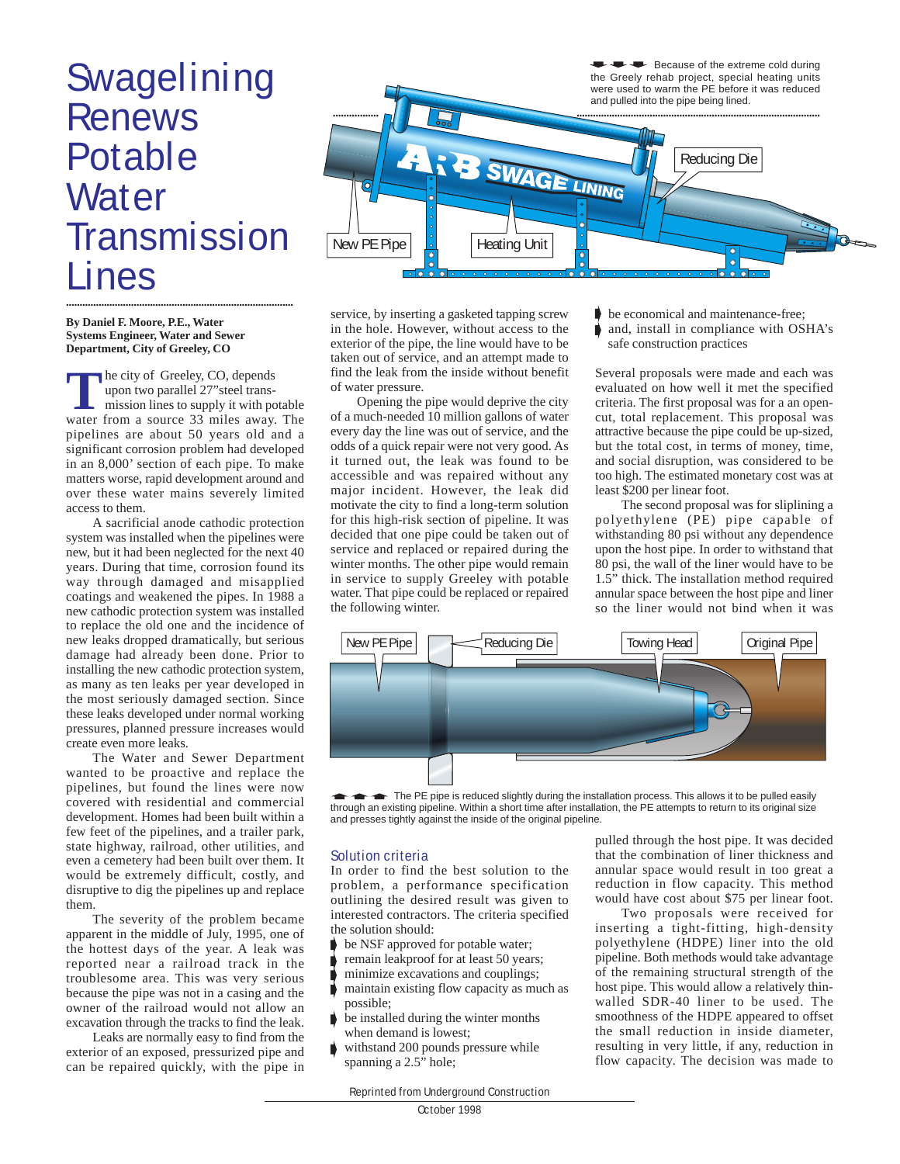## Swagelining Renews Potable **Water Transmission** Lines **....................................................................................**

**By Daniel F. Moore, P.E., Water Systems Engineer, Water and Sewer Department, City of Greeley, CO**

**T** he city of Greeley, CO, depends<br>upon two parallel 27"steel trans-<br>mission lines to supply it with potable<br>water from a source 33 miles away. The he city of Greeley, CO, depends upon two parallel 27"steel transmission lines to supply it with potable pipelines are about 50 years old and a significant corrosion problem had developed in an 8,000' section of each pipe. To make matters worse, rapid development around and over these water mains severely limited access to them.

A sacrificial anode cathodic protection system was installed when the pipelines were new, but it had been neglected for the next 40 years. During that time, corrosion found its way through damaged and misapplied coatings and weakened the pipes. In 1988 a new cathodic protection system was installed to replace the old one and the incidence of new leaks dropped dramatically, but serious damage had already been done. Prior to installing the new cathodic protection system, as many as ten leaks per year developed in the most seriously damaged section. Since these leaks developed under normal working pressures, planned pressure increases would create even more leaks.

The Water and Sewer Department wanted to be proactive and replace the pipelines, but found the lines were now covered with residential and commercial development. Homes had been built within a few feet of the pipelines, and a trailer park, state highway, railroad, other utilities, and even a cemetery had been built over them. It would be extremely difficult, costly, and disruptive to dig the pipelines up and replace them.

The severity of the problem became apparent in the middle of July, 1995, one of the hottest days of the year. A leak was reported near a railroad track in the troublesome area. This was very serious because the pipe was not in a casing and the owner of the railroad would not allow an excavation through the tracks to find the leak.

Leaks are normally easy to find from the exterior of an exposed, pressurized pipe and can be repaired quickly, with the pipe in



service, by inserting a gasketed tapping screw in the hole. However, without access to the exterior of the pipe, the line would have to be taken out of service, and an attempt made to find the leak from the inside without benefit of water pressure.

Opening the pipe would deprive the city of a much-needed 10 million gallons of water every day the line was out of service, and the odds of a quick repair were not very good. As it turned out, the leak was found to be accessible and was repaired without any major incident. However, the leak did motivate the city to find a long-term solution for this high-risk section of pipeline. It was decided that one pipe could be taken out of service and replaced or repaired during the winter months. The other pipe would remain in service to supply Greeley with potable water. That pipe could be replaced or repaired the following winter.

- be economical and maintenance-free;
- and, install in compliance with OSHA's safe construction practices

Several proposals were made and each was evaluated on how well it met the specified criteria. The first proposal was for a an opencut, total replacement. This proposal was attractive because the pipe could be up-sized, but the total cost, in terms of money, time, and social disruption, was considered to be too high. The estimated monetary cost was at least \$200 per linear foot.

The second proposal was for sliplining a polyethylene (PE) pipe capable of withstanding 80 psi without any dependence upon the host pipe. In order to withstand that 80 psi, the wall of the liner would have to be 1.5" thick. The installation method required annular space between the host pipe and liner so the liner would not bind when it was



The PE pipe is reduced slightly during the installation process. This allows it to be pulled easily through an existing pipeline. Within a short time after installation, the PE attempts to return to its original size and presses tightly against the inside of the original pipeline.

## Solution criteria

In order to find the best solution to the problem, a performance specification outlining the desired result was given to interested contractors. The criteria specified the solution should:

- be NSF approved for potable water;
- remain leakproof for at least 50 years;
- minimize excavations and couplings;
- maintain existing flow capacity as much as possible;
- be installed during the winter months when demand is lowest;
- withstand 200 pounds pressure while spanning a 2.5" hole;

pulled through the host pipe. It was decided that the combination of liner thickness and annular space would result in too great a reduction in flow capacity. This method would have cost about \$75 per linear foot.

Two proposals were received for inserting a tight-fitting, high-density polyethylene (HDPE) liner into the old pipeline. Both methods would take advantage of the remaining structural strength of the host pipe. This would allow a relatively thinwalled SDR-40 liner to be used. The smoothness of the HDPE appeared to offset the small reduction in inside diameter, resulting in very little, if any, reduction in flow capacity. The decision was made to